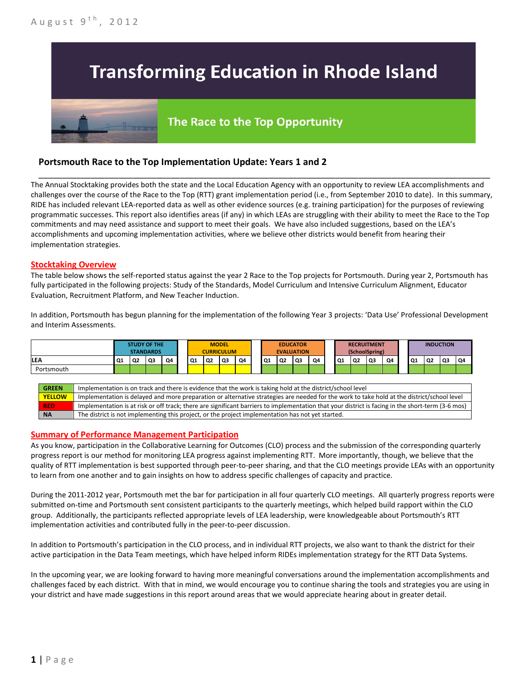## **Transforming Education in Rhode Island**

# The Race to the Top Opportunity

### **Portsmouth Race to the Top Implementation Update: Years 1 and 2**

The Annual Stocktaking provides both the state and the Local Education Agency with an opportunity to review LEA accomplishments and challenges over the course of the Race to the Top (RTT) grant implementation period (i.e., from September 2010 to date). In this summary, RIDE has included relevant LEA-reported data as well as other evidence sources (e.g. training participation) for the purposes of reviewing programmatic successes. This report also identifies areas (if any) in which LEAs are struggling with their ability to meet the Race to the Top commitments and may need assistance and support to meet their goals. We have also included suggestions, based on the LEA's accomplishments and upcoming implementation activities, where we believe other districts would benefit from hearing their implementation strategies.

\_\_\_\_\_\_\_\_\_\_\_\_\_\_\_\_\_\_\_\_\_\_\_\_\_\_\_\_\_\_\_\_\_\_\_\_\_\_\_\_\_\_\_\_\_\_\_\_\_\_\_\_\_\_\_\_\_\_\_\_\_\_\_\_\_\_\_\_\_\_\_\_\_\_\_\_\_\_\_\_\_\_\_\_\_\_\_\_\_\_\_\_\_\_\_\_

#### **Stocktaking Overview**

The table below shows the self-reported status against the year 2 Race to the Top projects for Portsmouth. During year 2, Portsmouth has fully participated in the following projects: Study of the Standards, Model Curriculum and Intensive Curriculum Alignment, Educator Evaluation, Recruitment Platform, and New Teacher Induction.

In addition, Portsmouth has begun planning for the implementation of the following Year 3 projects: 'Data Use' Professional Development and Interim Assessments.



#### **Summary of Performance Management Participation**

As you know, participation in the Collaborative Learning for Outcomes (CLO) process and the submission of the corresponding quarterly progress report is our method for monitoring LEA progress against implementing RTT. More importantly, though, we believe that the quality of RTT implementation is best supported through peer-to-peer sharing, and that the CLO meetings provide LEAs with an opportunity to learn from one another and to gain insights on how to address specific challenges of capacity and practice.

During the 2011-2012 year, Portsmouth met the bar for participation in all four quarterly CLO meetings. All quarterly progress reports were submitted on-time and Portsmouth sent consistent participants to the quarterly meetings, which helped build rapport within the CLO group. Additionally, the participants reflected appropriate levels of LEA leadership, were knowledgeable about Portsmouth's RTT implementation activities and contributed fully in the peer-to-peer discussion.

In addition to Portsmouth's participation in the CLO process, and in individual RTT projects, we also want to thank the district for their active participation in the Data Team meetings, which have helped inform RIDEs implementation strategy for the RTT Data Systems.

In the upcoming year, we are looking forward to having more meaningful conversations around the implementation accomplishments and challenges faced by each district. With that in mind, we would encourage you to continue sharing the tools and strategies you are using in your district and have made suggestions in this report around areas that we would appreciate hearing about in greater detail.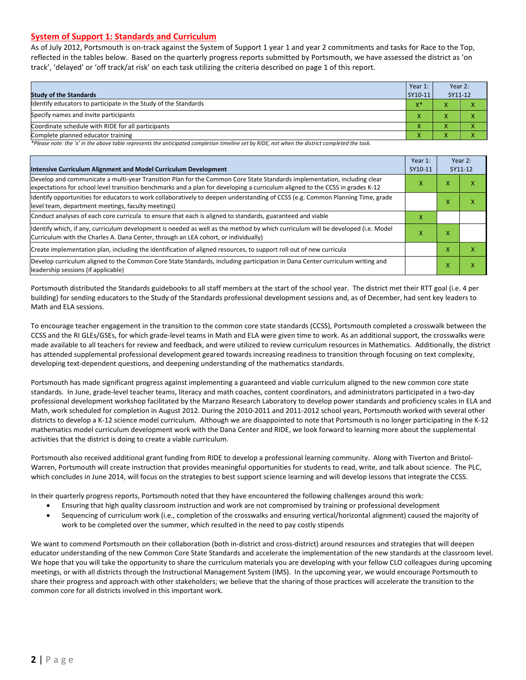#### **System of Support 1: Standards and Curriculum**

As of July 2012, Portsmouth is on-track against the System of Support 1 year 1 and year 2 commitments and tasks for Race to the Top, reflected in the tables below. Based on the quarterly progress reports submitted by Portsmouth, we have assessed the district as 'on track', 'delayed' or 'off track/at risk' on each task utilizing the criteria described on page 1 of this report.

| <b>Study of the Standards</b>                                   |                    | Year 2:<br>SY11-12 |  |
|-----------------------------------------------------------------|--------------------|--------------------|--|
| Identify educators to participate in the Study of the Standards | $X^*$              |                    |  |
| Specify names and invite participants                           |                    |                    |  |
| Coordinate schedule with RIDE for all participants              |                    | ∧                  |  |
| Complete planned educator training                              | $\mathbf{\Lambda}$ | ∧                  |  |

*\*Please note: the 'x' in the above table represents the anticipated completion timeline set by RIDE, not when the district completed the task.*

| Intensive Curriculum Alignment and Model Curriculum Development                                                                                                                                                                                           |   |   | Year 2:<br>SY11-12        |  |
|-----------------------------------------------------------------------------------------------------------------------------------------------------------------------------------------------------------------------------------------------------------|---|---|---------------------------|--|
| Develop and communicate a multi-year Transition Plan for the Common Core State Standards implementation, including clear<br>expectations for school level transition benchmarks and a plan for developing a curriculum aligned to the CCSS in grades K-12 | X | x | x                         |  |
| Identify opportunities for educators to work collaboratively to deepen understanding of CCSS (e.g. Common Planning Time, grade<br>level team, department meetings, faculty meetings)                                                                      |   | X | $\boldsymbol{\mathsf{x}}$ |  |
| Conduct analyses of each core curricula to ensure that each is aligned to standards, guaranteed and viable                                                                                                                                                | x |   |                           |  |
| Identify which, if any, curriculum development is needed as well as the method by which curriculum will be developed (i.e. Model<br>Curriculum with the Charles A. Dana Center, through an LEA cohort, or individually)                                   | x | X |                           |  |
| Create implementation plan, including the identification of aligned resources, to support roll out of new curricula                                                                                                                                       |   |   | $\boldsymbol{\mathsf{x}}$ |  |
| Develop curriculum aligned to the Common Core State Standards, including participation in Dana Center curriculum writing and<br>leadership sessions (if applicable)                                                                                       |   |   |                           |  |

Portsmouth distributed the Standards guidebooks to all staff members at the start of the school year. The district met their RTT goal (i.e. 4 per building) for sending educators to the Study of the Standards professional development sessions and, as of December, had sent key leaders to Math and ELA sessions.

To encourage teacher engagement in the transition to the common core state standards (CCSS), Portsmouth completed a crosswalk between the CCSS and the RI GLEs/GSEs, for which grade-level teams in Math and ELA were given time to work. As an additional support, the crosswalks were made available to all teachers for review and feedback, and were utilized to review curriculum resources in Mathematics. Additionally, the district has attended supplemental professional development geared towards increasing readiness to transition through focusing on text complexity, developing text-dependent questions, and deepening understanding of the mathematics standards.

Portsmouth has made significant progress against implementing a guaranteed and viable curriculum aligned to the new common core state standards. In June, grade-level teacher teams, literacy and math coaches, content coordinators, and administrators participated in a two-day professional development workshop facilitated by the Marzano Research Laboratory to develop power standards and proficiency scales in ELA and Math, work scheduled for completion in August 2012. During the 2010-2011 and 2011-2012 school years, Portsmouth worked with several other districts to develop a K-12 science model curriculum. Although we are disappointed to note that Portsmouth is no longer participating in the K-12 mathematics model curriculum development work with the Dana Center and RIDE, we look forward to learning more about the supplemental activities that the district is doing to create a viable curriculum.

Portsmouth also received additional grant funding from RIDE to develop a professional learning community. Along with Tiverton and Bristol-Warren, Portsmouth will create instruction that provides meaningful opportunities for students to read, write, and talk about science. The PLC, which concludes in June 2014, will focus on the strategies to best support science learning and will develop lessons that integrate the CCSS.

In their quarterly progress reports, Portsmouth noted that they have encountered the following challenges around this work:

- Ensuring that high quality classroom instruction and work are not compromised by training or professional development
- Sequencing of curriculum work (i.e., completion of the crosswalks and ensuring vertical/horizontal alignment) caused the majority of work to be completed over the summer, which resulted in the need to pay costly stipends

We want to commend Portsmouth on their collaboration (both in-district and cross-district) around resources and strategies that will deepen educator understanding of the new Common Core State Standards and accelerate the implementation of the new standards at the classroom level. We hope that you will take the opportunity to share the curriculum materials you are developing with your fellow CLO colleagues during upcoming meetings, or with all districts through the Instructional Management System (IMS). In the upcoming year, we would encourage Portsmouth to share their progress and approach with other stakeholders; we believe that the sharing of those practices will accelerate the transition to the common core for all districts involved in this important work.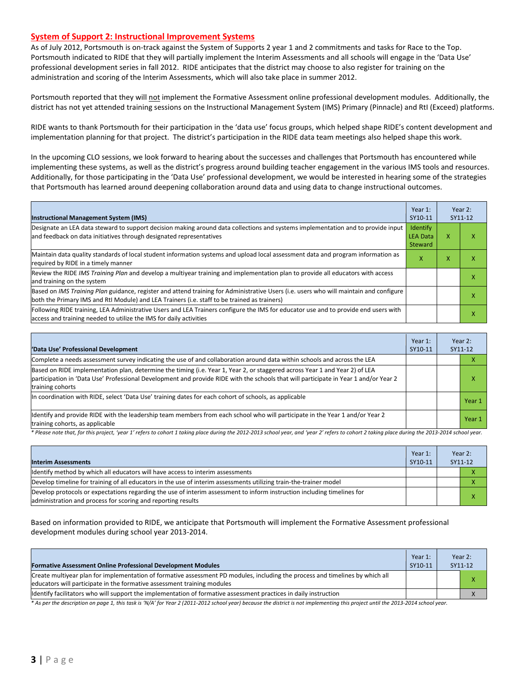#### **System of Support 2: Instructional Improvement Systems**

As of July 2012, Portsmouth is on-track against the System of Supports 2 year 1 and 2 commitments and tasks for Race to the Top. Portsmouth indicated to RIDE that they will partially implement the Interim Assessments and all schools will engage in the 'Data Use' professional development series in fall 2012. RIDE anticipates that the district may choose to also register for training on the administration and scoring of the Interim Assessments, which will also take place in summer 2012.

Portsmouth reported that they will not implement the Formative Assessment online professional development modules. Additionally, the district has not yet attended training sessions on the Instructional Management System (IMS) Primary (Pinnacle) and RtI (Exceed) platforms.

RIDE wants to thank Portsmouth for their participation in the 'data use' focus groups, which helped shape RIDE's content development and implementation planning for that project. The district's participation in the RIDE data team meetings also helped shape this work.

In the upcoming CLO sessions, we look forward to hearing about the successes and challenges that Portsmouth has encountered while implementing these systems, as well as the district's progress around building teacher engagement in the various IMS tools and resources. Additionally, for those participating in the 'Data Use' professional development, we would be interested in hearing some of the strategies that Portsmouth has learned around deepening collaboration around data and using data to change instructional outcomes.

| <b>Instructional Management System (IMS)</b>                                                                                                                                                                                           | Year 1:<br>SY10-11                            |   | Year 2:<br>SY11-12 |
|----------------------------------------------------------------------------------------------------------------------------------------------------------------------------------------------------------------------------------------|-----------------------------------------------|---|--------------------|
| Designate an LEA data steward to support decision making around data collections and systems implementation and to provide input<br>and feedback on data initiatives through designated representatives                                | <b>Identify</b><br><b>LEA Data</b><br>Steward | x | ⋏                  |
| Maintain data quality standards of local student information systems and upload local assessment data and program information as<br>required by RIDE in a timely manner                                                                | x                                             | x | ⋏                  |
| Review the RIDE IMS Training Plan and develop a multiyear training and implementation plan to provide all educators with access<br>and training on the system                                                                          |                                               |   |                    |
| Based on IMS Training Plan guidance, register and attend training for Administrative Users (i.e. users who will maintain and configure<br>both the Primary IMS and RtI Module) and LEA Trainers (i.e. staff to be trained as trainers) |                                               |   | ⋏                  |
| Following RIDE training, LEA Administrative Users and LEA Trainers configure the IMS for educator use and to provide end users with<br>access and training needed to utilize the IMS for daily activities                              |                                               |   | ⋏                  |

| 'Data Use' Professional Development                                                                                                                                                                                                                                                     | Year 1:<br>SY10-11 | SY11-12 | Year 2: |
|-----------------------------------------------------------------------------------------------------------------------------------------------------------------------------------------------------------------------------------------------------------------------------------------|--------------------|---------|---------|
| Complete a needs assessment survey indicating the use of and collaboration around data within schools and across the LEA                                                                                                                                                                |                    |         | л       |
| Based on RIDE implementation plan, determine the timing (i.e. Year 1, Year 2, or staggered across Year 1 and Year 2) of LEA<br>participation in 'Data Use' Professional Development and provide RIDE with the schools that will participate in Year 1 and/or Year 2<br>training cohorts |                    |         | x       |
| In coordination with RIDE, select 'Data Use' training dates for each cohort of schools, as applicable                                                                                                                                                                                   |                    |         | Year 1  |
| Identify and provide RIDE with the leadership team members from each school who will participate in the Year 1 and/or Year 2<br>training cohorts, as applicable                                                                                                                         |                    |         | Year 1  |

*\* Please note that, for this project, 'year 1' refers to cohort 1 taking place during the 2012-2013 school year, and 'year 2' refers to cohort 2 taking place during the 2013-2014 school year.*

| <b>Interim Assessments</b>                                                                                                                                                              | Year 1:<br>SY10-11 | Year 2:<br>SY11-12 |  |
|-----------------------------------------------------------------------------------------------------------------------------------------------------------------------------------------|--------------------|--------------------|--|
| Identify method by which all educators will have access to interim assessments                                                                                                          |                    |                    |  |
| Develop timeline for training of all educators in the use of interim assessments utilizing train-the-trainer model                                                                      |                    |                    |  |
| Develop protocols or expectations regarding the use of interim assessment to inform instruction including timelines for<br>administration and process for scoring and reporting results |                    |                    |  |

Based on information provided to RIDE, we anticipate that Portsmouth will implement the Formative Assessment professional development modules during school year 2013-2014.

| <b>Formative Assessment Online Professional Development Modules</b>                                                                                                                                      | Year $1$ :<br>SY10-11 | Year $2:$<br>SY11-12 |
|----------------------------------------------------------------------------------------------------------------------------------------------------------------------------------------------------------|-----------------------|----------------------|
| Create multivear plan for implementation of formative assessment PD modules, including the process and timelines by which all<br>educators will participate in the formative assessment training modules |                       |                      |
| ldentify facilitators who will support the implementation of formative assessment practices in daily instruction                                                                                         |                       |                      |

*\* As per the description on page 1, this task is 'N/A' for Year 2 (2011-2012 school year) because the district is not implementing this project until the 2013-2014 school year.*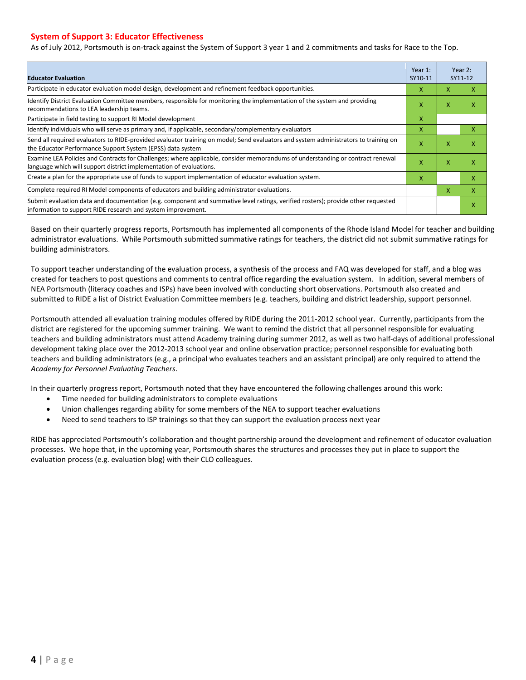#### **System of Support 3: Educator Effectiveness**

As of July 2012, Portsmouth is on-track against the System of Support 3 year 1 and 2 commitments and tasks for Race to the Top.

| <b>Educator Evaluation</b>                                                                                                                                                                            |   |   | Year 2:<br>SY11-12 |
|-------------------------------------------------------------------------------------------------------------------------------------------------------------------------------------------------------|---|---|--------------------|
| Participate in educator evaluation model design, development and refinement feedback opportunities.                                                                                                   | x | x | x                  |
| Identify District Evaluation Committee members, responsible for monitoring the implementation of the system and providing<br>recommendations to LEA leadership teams.                                 | x | X | x                  |
| Participate in field testing to support RI Model development                                                                                                                                          | X |   |                    |
| Identify individuals who will serve as primary and, if applicable, secondary/complementary evaluators                                                                                                 | X |   | x                  |
| Send all required evaluators to RIDE-provided evaluator training on model; Send evaluators and system administrators to training on<br>the Educator Performance Support System (EPSS) data system     | X | X | X                  |
| Examine LEA Policies and Contracts for Challenges; where applicable, consider memorandums of understanding or contract renewal<br>language which will support district implementation of evaluations. |   | X | X                  |
| Create a plan for the appropriate use of funds to support implementation of educator evaluation system.                                                                                               |   |   | x                  |
| Complete required RI Model components of educators and building administrator evaluations.                                                                                                            |   |   | x                  |
| Submit evaluation data and documentation (e.g. component and summative level ratings, verified rosters); provide other requested<br>information to support RIDE research and system improvement.      |   |   | X                  |

Based on their quarterly progress reports, Portsmouth has implemented all components of the Rhode Island Model for teacher and building administrator evaluations. While Portsmouth submitted summative ratings for teachers, the district did not submit summative ratings for building administrators.

To support teacher understanding of the evaluation process, a synthesis of the process and FAQ was developed for staff, and a blog was created for teachers to post questions and comments to central office regarding the evaluation system. In addition, several members of NEA Portsmouth (literacy coaches and ISPs) have been involved with conducting short observations. Portsmouth also created and submitted to RIDE a list of District Evaluation Committee members (e.g. teachers, building and district leadership, support personnel.

Portsmouth attended all evaluation training modules offered by RIDE during the 2011-2012 school year. Currently, participants from the district are registered for the upcoming summer training. We want to remind the district that all personnel responsible for evaluating teachers and building administrators must attend Academy training during summer 2012, as well as two half-days of additional professional development taking place over the 2012-2013 school year and online observation practice; personnel responsible for evaluating both teachers and building administrators (e.g., a principal who evaluates teachers and an assistant principal) are only required to attend the *Academy for Personnel Evaluating Teachers*.

In their quarterly progress report, Portsmouth noted that they have encountered the following challenges around this work:

- Time needed for building administrators to complete evaluations
- Union challenges regarding ability for some members of the NEA to support teacher evaluations
- Need to send teachers to ISP trainings so that they can support the evaluation process next year

RIDE has appreciated Portsmouth's collaboration and thought partnership around the development and refinement of educator evaluation processes. We hope that, in the upcoming year, Portsmouth shares the structures and processes they put in place to support the evaluation process (e.g. evaluation blog) with their CLO colleagues.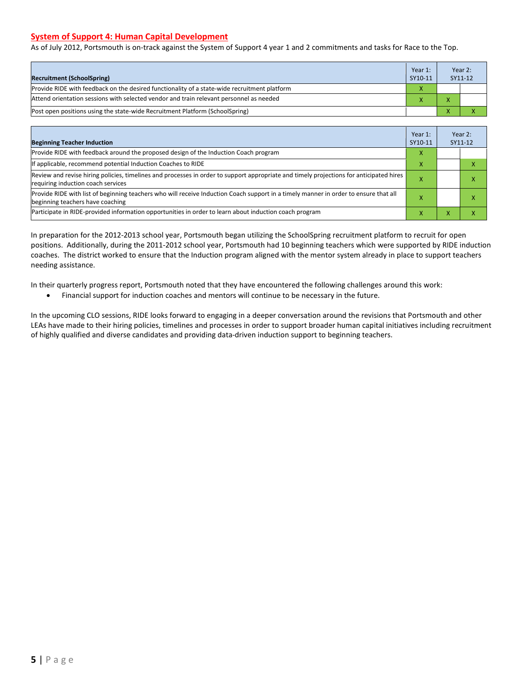#### **System of Support 4: Human Capital Development**

As of July 2012, Portsmouth is on-track against the System of Support 4 year 1 and 2 commitments and tasks for Race to the Top.

| <b>Recruitment (SchoolSpring)</b>                                                            | Year 1:<br>SY10-11 | Year 2:<br>SY11-12 |
|----------------------------------------------------------------------------------------------|--------------------|--------------------|
| Provide RIDE with feedback on the desired functionality of a state-wide recruitment platform | X                  |                    |
| Attend orientation sessions with selected vendor and train relevant personnel as needed      |                    |                    |
| Post open positions using the state-wide Recruitment Platform (SchoolSpring)                 |                    |                    |

| <b>Beginning Teacher Induction</b>                                                                                                                                            | Year 1:<br>SY10-11 |                   | Year 2:<br>SY11-12 |
|-------------------------------------------------------------------------------------------------------------------------------------------------------------------------------|--------------------|-------------------|--------------------|
| Provide RIDE with feedback around the proposed design of the Induction Coach program                                                                                          | X                  |                   |                    |
| If applicable, recommend potential Induction Coaches to RIDE                                                                                                                  | x                  |                   | x                  |
| Review and revise hiring policies, timelines and processes in order to support appropriate and timely projections for anticipated hires<br>requiring induction coach services | W                  |                   | л                  |
| Provide RIDE with list of beginning teachers who will receive Induction Coach support in a timely manner in order to ensure that all<br>beginning teachers have coaching      |                    |                   |                    |
| Participate in RIDE-provided information opportunities in order to learn about induction coach program                                                                        | ×                  | $\mathbf{v}$<br>⋏ |                    |

In preparation for the 2012-2013 school year, Portsmouth began utilizing the SchoolSpring recruitment platform to recruit for open positions. Additionally, during the 2011-2012 school year, Portsmouth had 10 beginning teachers which were supported by RIDE induction coaches. The district worked to ensure that the Induction program aligned with the mentor system already in place to support teachers needing assistance.

In their quarterly progress report, Portsmouth noted that they have encountered the following challenges around this work:

• Financial support for induction coaches and mentors will continue to be necessary in the future.

In the upcoming CLO sessions, RIDE looks forward to engaging in a deeper conversation around the revisions that Portsmouth and other LEAs have made to their hiring policies, timelines and processes in order to support broader human capital initiatives including recruitment of highly qualified and diverse candidates and providing data-driven induction support to beginning teachers.